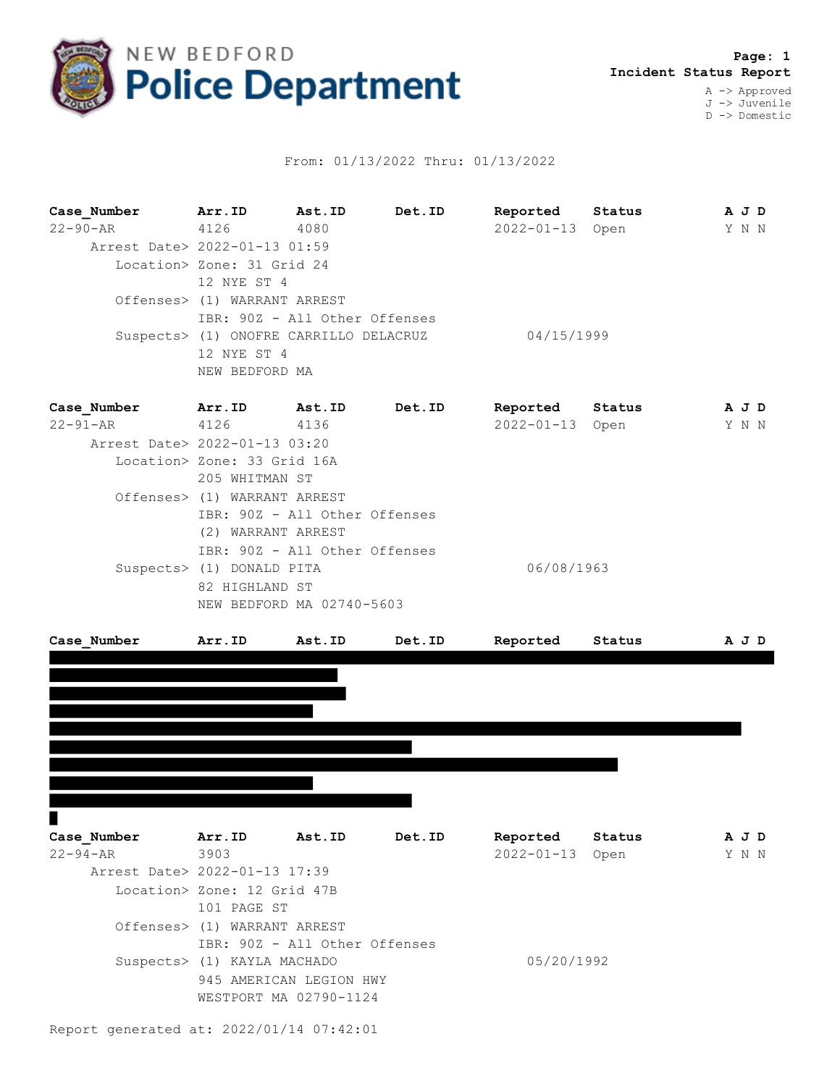

## From: 01/13/2022 Thru: 01/13/2022

**Case\_Number Arr.ID Ast.ID Det.ID Reported Status A J D** 22-90-AR 4126 4080 2022-01-13 Open Y N N Arrest Date> 2022-01-13 01:59 Location> Zone: 31 Grid 24 12 NYE ST 4 Offenses> (1) WARRANT ARREST IBR: 90Z - All Other Offenses Suspects> (1) ONOFRE CARRILLO DELACRUZ 04/15/1999 12 NYE ST 4 NEW BEDFORD MA

| Case Number                   | Arr.ID                        | Ast.ID | Det.ID | Reported        | Status | A J D |       |  |
|-------------------------------|-------------------------------|--------|--------|-----------------|--------|-------|-------|--|
| $22 - 91 - AR$                | 4126                          | 4136   |        | 2022-01-13 Open |        |       | Y N N |  |
| Arrest Date> 2022-01-13 03:20 |                               |        |        |                 |        |       |       |  |
|                               | Location> Zone: 33 Grid 16A   |        |        |                 |        |       |       |  |
|                               | 205 WHITMAN ST                |        |        |                 |        |       |       |  |
|                               | Offenses> (1) WARRANT ARREST  |        |        |                 |        |       |       |  |
|                               | IBR: 90Z - All Other Offenses |        |        |                 |        |       |       |  |
|                               | (2) WARRANT ARREST            |        |        |                 |        |       |       |  |
|                               | IBR: 90Z - All Other Offenses |        |        |                 |        |       |       |  |
|                               | Suspects> (1) DONALD PITA     |        |        | 06/08/1963      |        |       |       |  |
|                               | 82 HIGHLAND ST                |        |        |                 |        |       |       |  |
|                               | NEW BEDFORD MA 02740-5603     |        |        |                 |        |       |       |  |
|                               |                               |        |        |                 |        |       |       |  |